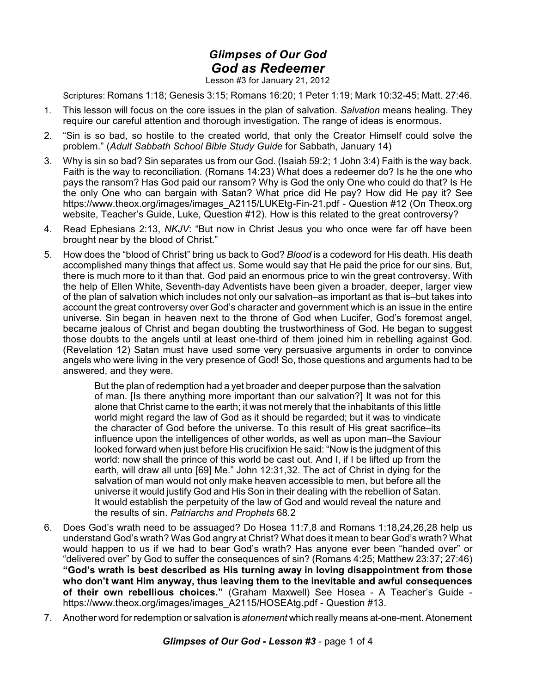## *Glimpses of Our God God as Redeemer*

Lesson #3 for January 21, 2012

Scriptures: Romans 1:18; Genesis 3:15; Romans 16:20; 1 Peter 1:19; Mark 10:32-45; Matt. 27:46.

- 1. This lesson will focus on the core issues in the plan of salvation. *Salvation* means healing. They require our careful attention and thorough investigation. The range of ideas is enormous.
- 2. "Sin is so bad, so hostile to the created world, that only the Creator Himself could solve the problem." (*Adult Sabbath School Bible Study Guide* for Sabbath, January 14)
- 3. Why is sin so bad? Sin separates us from our God. (Isaiah 59:2; 1 John 3:4) Faith is the way back. Faith is the way to reconciliation. (Romans 14:23) What does a redeemer do? Is he the one who pays the ransom? Has God paid our ransom? Why is God the only One who could do that? Is He the only One who can bargain with Satan? What price did He pay? How did He pay it? See https://www.theox.org/images/images\_A2115/LUKEtg-Fin-21.pdf - Question #12 (On Theox.org website, Teacher's Guide, Luke, Question #12). How is this related to the great controversy?
- 4. Read Ephesians 2:13, *NKJV*: "But now in Christ Jesus you who once were far off have been brought near by the blood of Christ."
- 5. How does the "blood of Christ" bring us back to God? *Blood* is a codeword for His death. His death accomplished many things that affect us. Some would say that He paid the price for our sins. But, there is much more to it than that. God paid an enormous price to win the great controversy. With the help of Ellen White, Seventh-day Adventists have been given a broader, deeper, larger view of the plan of salvation which includes not only our salvation–as important as that is–but takes into account the great controversy over God's character and government which is an issue in the entire universe. Sin began in heaven next to the throne of God when Lucifer, God's foremost angel, became jealous of Christ and began doubting the trustworthiness of God. He began to suggest those doubts to the angels until at least one-third of them joined him in rebelling against God. (Revelation 12) Satan must have used some very persuasive arguments in order to convince angels who were living in the very presence of God! So, those questions and arguments had to be answered, and they were.

But the plan of redemption had a yet broader and deeper purpose than the salvation of man. [Is there anything more important than our salvation?] It was not for this alone that Christ came to the earth; it was not merely that the inhabitants of this little world might regard the law of God as it should be regarded; but it was to vindicate the character of God before the universe. To this result of His great sacrifice–its influence upon the intelligences of other worlds, as well as upon man–the Saviour looked forward when just before His crucifixion He said: "Now is the judgment of this world: now shall the prince of this world be cast out. And I, if I be lifted up from the earth, will draw all unto [69] Me." John 12:31,32. The act of Christ in dying for the salvation of man would not only make heaven accessible to men, but before all the universe it would justify God and His Son in their dealing with the rebellion of Satan. It would establish the perpetuity of the law of God and would reveal the nature and the results of sin. *Patriarchs and Prophets* 68.2

- 6. Does God's wrath need to be assuaged? Do Hosea 11:7,8 and Romans 1:18,24,26,28 help us understand God's wrath? Was God angry at Christ? What does it mean to bear God's wrath? What would happen to us if we had to bear God's wrath? Has anyone ever been "handed over" or "delivered over" by God to suffer the consequences of sin? (Romans 4:25; Matthew 23:37; 27:46) **"God's wrath is best described as His turning away in loving disappointment from those who don't want Him anyway, thus leaving them to the inevitable and awful consequences of their own rebellious choices."** (Graham Maxwell) See Hosea - A Teacher's Guide https://www.theox.org/images/images\_A2115/HOSEAtg.pdf - Question #13.
- 7. Another word for redemption or salvation is *atonement* which really means at-one-ment. Atonement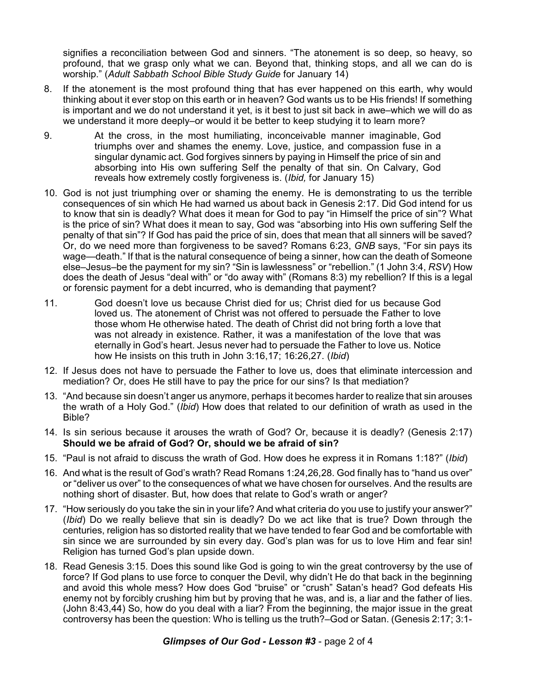signifies a reconciliation between God and sinners. "The atonement is so deep, so heavy, so profound, that we grasp only what we can. Beyond that, thinking stops, and all we can do is worship." (*Adult Sabbath School Bible Study Guide* for January 14)

- 8. If the atonement is the most profound thing that has ever happened on this earth, why would thinking about it ever stop on this earth or in heaven? God wants us to be His friends! If something is important and we do not understand it yet, is it best to just sit back in awe–which we will do as we understand it more deeply–or would it be better to keep studying it to learn more?
- 9. At the cross, in the most humiliating, inconceivable manner imaginable, God triumphs over and shames the enemy. Love, justice, and compassion fuse in a singular dynamic act. God forgives sinners by paying in Himself the price of sin and absorbing into His own suffering Self the penalty of that sin. On Calvary, God reveals how extremely costly forgiveness is. (*Ibid,* for January 15)
- 10. God is not just triumphing over or shaming the enemy. He is demonstrating to us the terrible consequences of sin which He had warned us about back in Genesis 2:17. Did God intend for us to know that sin is deadly? What does it mean for God to pay "in Himself the price of sin"? What is the price of sin? What does it mean to say, God was "absorbing into His own suffering Self the penalty of that sin"? If God has paid the price of sin, does that mean that all sinners will be saved? Or, do we need more than forgiveness to be saved? Romans 6:23, *GNB* says, "For sin pays its wage—death." If that is the natural consequence of being a sinner, how can the death of Someone else–Jesus–be the payment for my sin? "Sin is lawlessness" or "rebellion." (1 John 3:4, *RSV*) How does the death of Jesus "deal with" or "do away with" (Romans 8:3) my rebellion? If this is a legal or forensic payment for a debt incurred, who is demanding that payment?
- 11. God doesn't love us because Christ died for us; Christ died for us because God loved us. The atonement of Christ was not offered to persuade the Father to love those whom He otherwise hated. The death of Christ did not bring forth a love that was not already in existence. Rather, it was a manifestation of the love that was eternally in God's heart. Jesus never had to persuade the Father to love us. Notice how He insists on this truth in John 3:16,17; 16:26,27. (*Ibid*)
- 12. If Jesus does not have to persuade the Father to love us, does that eliminate intercession and mediation? Or, does He still have to pay the price for our sins? Is that mediation?
- 13. "And because sin doesn't anger us anymore, perhaps it becomes harder to realize that sin arouses the wrath of a Holy God." (*Ibid*) How does that related to our definition of wrath as used in the Bible?
- 14. Is sin serious because it arouses the wrath of God? Or, because it is deadly? (Genesis 2:17) **Should we be afraid of God? Or, should we be afraid of sin?**
- 15. "Paul is not afraid to discuss the wrath of God. How does he express it in Romans 1:18?" (*Ibid*)
- 16. And what is the result of God's wrath? Read Romans 1:24,26,28. God finally has to "hand us over" or "deliver us over" to the consequences of what we have chosen for ourselves. And the results are nothing short of disaster. But, how does that relate to God's wrath or anger?
- 17. "How seriously do you take the sin in your life? And what criteria do you use to justify your answer?" (*Ibid*) Do we really believe that sin is deadly? Do we act like that is true? Down through the centuries, religion has so distorted reality that we have tended to fear God and be comfortable with sin since we are surrounded by sin every day. God's plan was for us to love Him and fear sin! Religion has turned God's plan upside down.
- 18. Read Genesis 3:15. Does this sound like God is going to win the great controversy by the use of force? If God plans to use force to conquer the Devil, why didn't He do that back in the beginning and avoid this whole mess? How does God "bruise" or "crush" Satan's head? God defeats His enemy not by forcibly crushing him but by proving that he was, and is, a liar and the father of lies. (John 8:43,44) So, how do you deal with a liar? From the beginning, the major issue in the great controversy has been the question: Who is telling us the truth?–God or Satan. (Genesis 2:17; 3:1-

## *Glimpses of Our God - Lesson #3* - page 2 of 4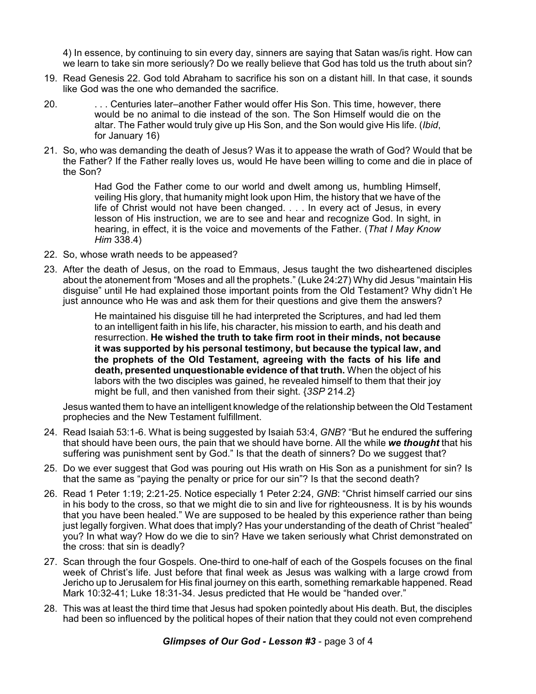4) In essence, by continuing to sin every day, sinners are saying that Satan was/is right. How can we learn to take sin more seriously? Do we really believe that God has told us the truth about sin?

- 19. Read Genesis 22. God told Abraham to sacrifice his son on a distant hill. In that case, it sounds like God was the one who demanded the sacrifice.
- 20. . . . Centuries later–another Father would offer His Son. This time, however, there would be no animal to die instead of the son. The Son Himself would die on the altar. The Father would truly give up His Son, and the Son would give His life. (*Ibid*, for January 16)
- 21. So, who was demanding the death of Jesus? Was it to appease the wrath of God? Would that be the Father? If the Father really loves us, would He have been willing to come and die in place of the Son?

Had God the Father come to our world and dwelt among us, humbling Himself, veiling His glory, that humanity might look upon Him, the history that we have of the life of Christ would not have been changed. . . . In every act of Jesus, in every lesson of His instruction, we are to see and hear and recognize God. In sight, in hearing, in effect, it is the voice and movements of the Father. (*That I May Know Him* 338.4)

- 22. So, whose wrath needs to be appeased?
- 23. After the death of Jesus, on the road to Emmaus, Jesus taught the two disheartened disciples about the atonement from "Moses and all the prophets." (Luke 24:27) Why did Jesus "maintain His disguise" until He had explained those important points from the Old Testament? Why didn't He just announce who He was and ask them for their questions and give them the answers?

He maintained his disguise till he had interpreted the Scriptures, and had led them to an intelligent faith in his life, his character, his mission to earth, and his death and resurrection. **He wished the truth to take firm root in their minds, not because it was supported by his personal testimony, but because the typical law, and the prophets of the Old Testament, agreeing with the facts of his life and death, presented unquestionable evidence of that truth.** When the object of his labors with the two disciples was gained, he revealed himself to them that their joy might be full, and then vanished from their sight. {*3SP* 214.2}

Jesus wanted them to have an intelligent knowledge of the relationship between the Old Testament prophecies and the New Testament fulfillment.

- 24. Read Isaiah 53:1-6. What is being suggested by Isaiah 53:4, *GNB*? "But he endured the suffering that should have been ours, the pain that we should have borne. All the while *we thought* that his suffering was punishment sent by God." Is that the death of sinners? Do we suggest that?
- 25. Do we ever suggest that God was pouring out His wrath on His Son as a punishment for sin? Is that the same as "paying the penalty or price for our sin"? Is that the second death?
- 26. Read 1 Peter 1:19; 2:21-25. Notice especially 1 Peter 2:24, *GNB*: "Christ himself carried our sins in his body to the cross, so that we might die to sin and live for righteousness. It is by his wounds that you have been healed." We are supposed to be healed by this experience rather than being just legally forgiven. What does that imply? Has your understanding of the death of Christ "healed" you? In what way? How do we die to sin? Have we taken seriously what Christ demonstrated on the cross: that sin is deadly?
- 27. Scan through the four Gospels. One-third to one-half of each of the Gospels focuses on the final week of Christ's life. Just before that final week as Jesus was walking with a large crowd from Jericho up to Jerusalem for His final journey on this earth, something remarkable happened. Read Mark 10:32-41; Luke 18:31-34. Jesus predicted that He would be "handed over."
- 28. This was at least the third time that Jesus had spoken pointedly about His death. But, the disciples had been so influenced by the political hopes of their nation that they could not even comprehend

*Glimpses of Our God - Lesson #3* - page 3 of 4